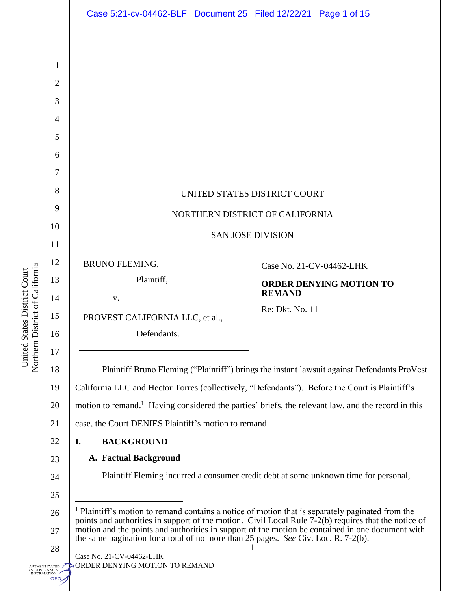|                                                                     |                                                                                      | Case 5:21-cv-04462-BLF  Document 25  Filed 12/22/21  Page 1 of 15                                                                                                                                                                                                                                                       |                                                                                          |                                |
|---------------------------------------------------------------------|--------------------------------------------------------------------------------------|-------------------------------------------------------------------------------------------------------------------------------------------------------------------------------------------------------------------------------------------------------------------------------------------------------------------------|------------------------------------------------------------------------------------------|--------------------------------|
| Northern District of California<br>tates District Court<br>United S | 1<br>$\overline{2}$<br>3<br>4<br>5<br>6<br>7<br>8<br>9<br>10<br>11<br>12<br>13<br>14 | UNITED STATES DISTRICT COURT<br>NORTHERN DISTRICT OF CALIFORNIA<br><b>BRUNO FLEMING,</b><br>Plaintiff,<br>V.                                                                                                                                                                                                            | <b>SAN JOSE DIVISION</b><br>Case No. 21-CV-04462-LHK<br><b>REMAND</b><br>Re: Dkt. No. 11 | <b>ORDER DENYING MOTION TO</b> |
|                                                                     | 15<br>16<br>17                                                                       | PROVEST CALIFORNIA LLC, et al.,<br>Defendants.                                                                                                                                                                                                                                                                          |                                                                                          |                                |
|                                                                     | 18                                                                                   | Plaintiff Bruno Fleming ("Plaintiff") brings the instant lawsuit against Defendants ProVest                                                                                                                                                                                                                             |                                                                                          |                                |
|                                                                     | 19                                                                                   | California LLC and Hector Torres (collectively, "Defendants"). Before the Court is Plaintiff's                                                                                                                                                                                                                          |                                                                                          |                                |
|                                                                     | 20                                                                                   | motion to remand. <sup>1</sup> Having considered the parties' briefs, the relevant law, and the record in this                                                                                                                                                                                                          |                                                                                          |                                |
|                                                                     | 21                                                                                   | case, the Court DENIES Plaintiff's motion to remand.                                                                                                                                                                                                                                                                    |                                                                                          |                                |
|                                                                     | 22                                                                                   | <b>BACKGROUND</b><br>I.                                                                                                                                                                                                                                                                                                 |                                                                                          |                                |
|                                                                     | 23                                                                                   | <b>A. Factual Background</b><br>Plaintiff Fleming incurred a consumer credit debt at some unknown time for personal,                                                                                                                                                                                                    |                                                                                          |                                |
|                                                                     | 24                                                                                   |                                                                                                                                                                                                                                                                                                                         |                                                                                          |                                |
|                                                                     | 25<br>26                                                                             |                                                                                                                                                                                                                                                                                                                         |                                                                                          |                                |
|                                                                     | 27                                                                                   | <sup>1</sup> Plaintiff's motion to remand contains a notice of motion that is separately paginated from the<br>points and authorities in support of the motion. Civil Local Rule 7-2(b) requires that the notice of<br>motion and the points and authorities in support of the motion be contained in one document with |                                                                                          |                                |
|                                                                     | 28                                                                                   | the same pagination for a total of no more than 25 pages. See Civ. Loc. R. 7-2(b).                                                                                                                                                                                                                                      |                                                                                          |                                |
| UTHENTICATED<br>S. GOVERNMENT<br><b>NFORMATION</b><br>GPO           |                                                                                      | Case No. 21-CV-04462-LHK<br>ORDER DENYING MOTION TO REMAND                                                                                                                                                                                                                                                              |                                                                                          |                                |

United States District Court<br>Northern District of California Northern District of California United States District Court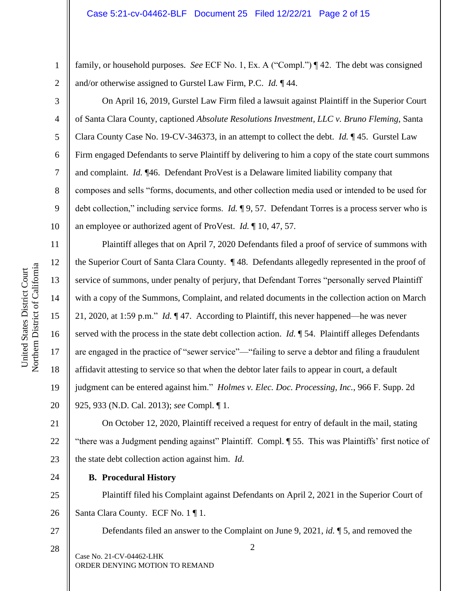family, or household purposes. *See* ECF No. 1, Ex. A ("Compl.") ¶ 42. The debt was consigned and/or otherwise assigned to Gurstel Law Firm, P.C. *Id.* ¶ 44.

On April 16, 2019, Gurstel Law Firm filed a lawsuit against Plaintiff in the Superior Court of Santa Clara County, captioned *Absolute Resolutions Investment, LLC v. Bruno Fleming*, Santa Clara County Case No. 19-CV-346373, in an attempt to collect the debt. *Id.* ¶ 45. Gurstel Law Firm engaged Defendants to serve Plaintiff by delivering to him a copy of the state court summons and complaint. *Id.* ¶46. Defendant ProVest is a Delaware limited liability company that composes and sells "forms, documents, and other collection media used or intended to be used for debt collection," including service forms. *Id.* ¶ 9, 57. Defendant Torres is a process server who is an employee or authorized agent of ProVest. *Id.* ¶ 10, 47, 57.

Plaintiff alleges that on April 7, 2020 Defendants filed a proof of service of summons with the Superior Court of Santa Clara County. ¶ 48. Defendants allegedly represented in the proof of service of summons, under penalty of perjury, that Defendant Torres "personally served Plaintiff with a copy of the Summons, Complaint, and related documents in the collection action on March 21, 2020, at 1:59 p.m." *Id.* ¶ 47. According to Plaintiff, this never happened—he was never served with the process in the state debt collection action. *Id.* 154. Plaintiff alleges Defendants are engaged in the practice of "sewer service"—"failing to serve a debtor and filing a fraudulent affidavit attesting to service so that when the debtor later fails to appear in court, a default judgment can be entered against him." *Holmes v. Elec. Doc. Processing, Inc.*, 966 F. Supp. 2d 925, 933 (N.D. Cal. 2013); *see* Compl. ¶ 1.

21 22 23 On October 12, 2020, Plaintiff received a request for entry of default in the mail, stating "there was a Judgment pending against" Plaintiff. Compl. ¶ 55.This was Plaintiffs' first notice of the state debt collection action against him. *Id.* 

24

27

28

### **B. Procedural History**

25 26 Plaintiff filed his Complaint against Defendants on April 2, 2021 in the Superior Court of Santa Clara County. ECF No. 1 ¶ 1.

Defendants filed an answer to the Complaint on June 9, 2021, *id.* ¶ 5, and removed the

Case No. 21-CV-04462-LHK ORDER DENYING MOTION TO REMAND

1

2

3

4

5

6

7

8

9

10

11

12

13

14

15

16

17

18

19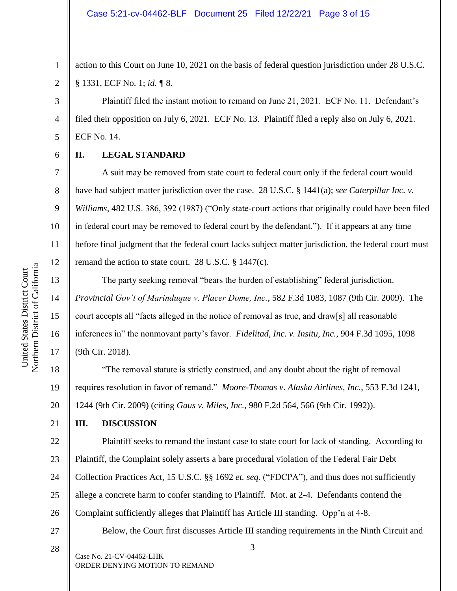action to this Court on June 10, 2021 on the basis of federal question jurisdiction under 28 U.S.C. § 1331, ECF No. 1; *id. ¶* 8.

Plaintiff filed the instant motion to remand on June 21, 2021. ECF No. 11. Defendant's filed their opposition on July 6, 2021. ECF No. 13. Plaintiff filed a reply also on July 6, 2021. ECF No. 14.

**II. LEGAL STANDARD**

A suit may be removed from state court to federal court only if the federal court would have had subject matter jurisdiction over the case. 28 U.S.C. § 1441(a); *see Caterpillar Inc. v. Williams*, 482 U.S. 386, 392 (1987) ("Only state-court actions that originally could have been filed in federal court may be removed to federal court by the defendant."). If it appears at any time before final judgment that the federal court lacks subject matter jurisdiction, the federal court must remand the action to state court. 28 U.S.C. § 1447(c).

The party seeking removal "bears the burden of establishing" federal jurisdiction. *Provincial Gov't of Marinduque v. Placer Dome, Inc.*, 582 F.3d 1083, 1087 (9th Cir. 2009). The court accepts all "facts alleged in the notice of removal as true, and draw[s] all reasonable inferences in" the nonmovant party's favor. *Fidelitad, Inc. v. Insitu, Inc.*, 904 F.3d 1095, 1098 (9th Cir. 2018).

20 "The removal statute is strictly construed, and any doubt about the right of removal requires resolution in favor of remand." *Moore-Thomas v. Alaska Airlines, Inc.*, 553 F.3d 1241, 1244 (9th Cir. 2009) (citing *Gaus v. Miles, Inc.*, 980 F.2d 564, 566 (9th Cir. 1992)).

**III. DISCUSSION**

22 23 24 25 26 27 Plaintiff seeks to remand the instant case to state court for lack of standing. According to Plaintiff, the Complaint solely asserts a bare procedural violation of the Federal Fair Debt Collection Practices Act, 15 U.S.C. §§ 1692 *et. seq.* ("FDCPA"), and thus does not sufficiently allege a concrete harm to confer standing to Plaintiff. Mot. at 2-4. Defendants contend the Complaint sufficiently alleges that Plaintiff has Article III standing. Opp'n at 4-8.

Below, the Court first discusses Article III standing requirements in the Ninth Circuit and

3

Northern District of California Northern District of California United States District Court United States District Court

1

2

3

4

5

6

7

8

9

10

11

12

13

14

15

16

17

18

19

21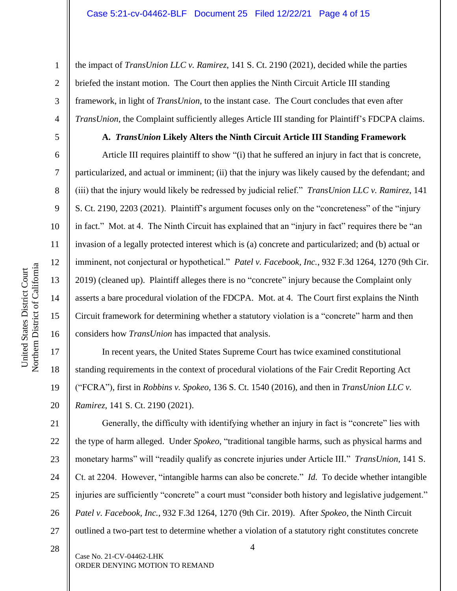the impact of *TransUnion LLC v. Ramirez*, 141 S. Ct. 2190 (2021), decided while the parties briefed the instant motion. The Court then applies the Ninth Circuit Article III standing framework, in light of *TransUnion*, to the instant case. The Court concludes that even after *TransUnion*, the Complaint sufficiently alleges Article III standing for Plaintiff's FDCPA claims.

### **A.** *TransUnion* **Likely Alters the Ninth Circuit Article III Standing Framework**

Article III requires plaintiff to show "(i) that he suffered an injury in fact that is concrete, particularized, and actual or imminent; (ii) that the injury was likely caused by the defendant; and (iii) that the injury would likely be redressed by judicial relief." *TransUnion LLC v. Ramirez*, 141 S. Ct. 2190, 2203 (2021). Plaintiff's argument focuses only on the "concreteness" of the "injury in fact." Mot. at 4. The Ninth Circuit has explained that an "injury in fact" requires there be "an invasion of a legally protected interest which is (a) concrete and particularized; and (b) actual or imminent, not conjectural or hypothetical." *Patel v. Facebook, Inc.*, 932 F.3d 1264, 1270 (9th Cir. 2019) (cleaned up). Plaintiff alleges there is no "concrete" injury because the Complaint only asserts a bare procedural violation of the FDCPA. Mot. at 4. The Court first explains the Ninth Circuit framework for determining whether a statutory violation is a "concrete" harm and then considers how *TransUnion* has impacted that analysis.

In recent years, the United States Supreme Court has twice examined constitutional standing requirements in the context of procedural violations of the Fair Credit Reporting Act ("FCRA"), first in *Robbins v. Spokeo*, 136 S. Ct. 1540 (2016), and then in *TransUnion LLC v. Ramirez*, 141 S. Ct. 2190 (2021).

21 22 23 24 25 26 27 Generally, the difficulty with identifying whether an injury in fact is "concrete" lies with the type of harm alleged. Under *Spokeo*, "traditional tangible harms, such as physical harms and monetary harms" will "readily qualify as concrete injuries under Article III." *TransUnion*, 141 S. Ct. at 2204. However, "intangible harms can also be concrete." *Id.* To decide whether intangible injuries are sufficiently "concrete" a court must "consider both history and legislative judgement." *Patel v. Facebook, Inc.*, 932 F.3d 1264, 1270 (9th Cir. 2019). After *Spokeo*, the Ninth Circuit outlined a two-part test to determine whether a violation of a statutory right constitutes concrete

4

Northern District of California Northern District of California United States District Court United States District Court

1

2

3

4

5

6

7

8

9

10

11

12

13

14

15

16

17

18

19

20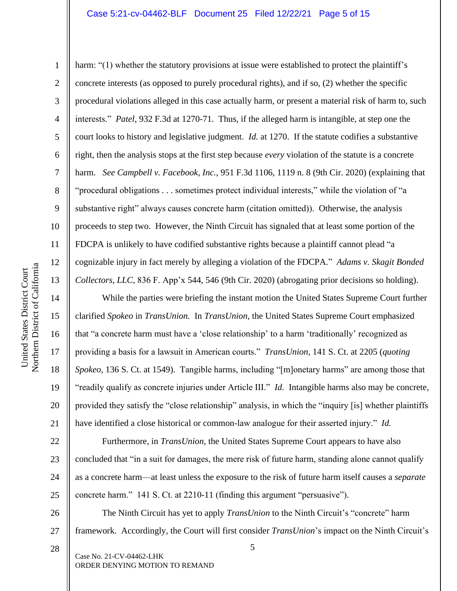### Case 5:21-cv-04462-BLF Document 25 Filed 12/22/21 Page 5 of 15

1

2

3

4

5

7

8

9

11

12

13

14

15

16

17

18

19

20

21

22

23

24

25

26

27

28

6 10 harm: "(1) whether the statutory provisions at issue were established to protect the plaintiff's concrete interests (as opposed to purely procedural rights), and if so, (2) whether the specific procedural violations alleged in this case actually harm, or present a material risk of harm to, such interests." *Patel*, 932 F.3d at 1270-71. Thus, if the alleged harm is intangible, at step one the court looks to history and legislative judgment. *Id.* at 1270. If the statute codifies a substantive right, then the analysis stops at the first step because *every* violation of the statute is a concrete harm. *See Campbell v. Facebook, Inc.*, 951 F.3d 1106, 1119 n. 8 (9th Cir. 2020) (explaining that "procedural obligations . . . sometimes protect individual interests," while the violation of "a substantive right" always causes concrete harm (citation omitted)). Otherwise, the analysis proceeds to step two. However, the Ninth Circuit has signaled that at least some portion of the FDCPA is unlikely to have codified substantive rights because a plaintiff cannot plead "a cognizable injury in fact merely by alleging a violation of the FDCPA." *Adams v. Skagit Bonded Collectors, LLC*, 836 F. App'x 544, 546 (9th Cir. 2020) (abrogating prior decisions so holding).

While the parties were briefing the instant motion the United States Supreme Court further clarified *Spokeo* in *TransUnion.* In *TransUnion*, the United States Supreme Court emphasized that "a concrete harm must have a 'close relationship' to a harm 'traditionally' recognized as providing a basis for a lawsuit in American courts." *TransUnion*, 141 S. Ct. at 2205 (*quoting Spokeo*, 136 S. Ct. at 1549). Tangible harms, including "[m]onetary harms" are among those that "readily qualify as concrete injuries under Article III." *Id.* Intangible harms also may be concrete, provided they satisfy the "close relationship" analysis, in which the "inquiry [is] whether plaintiffs have identified a close historical or common-law analogue for their asserted injury." *Id.*

Furthermore, in *TransUnion,* the United States Supreme Court appears to have also concluded that "in a suit for damages, the mere risk of future harm, standing alone cannot qualify as a concrete harm—at least unless the exposure to the risk of future harm itself causes a *separate*  concrete harm." 141 S. Ct. at 2210-11 (finding this argument "persuasive").

The Ninth Circuit has yet to apply *TransUnion* to the Ninth Circuit's "concrete" harm framework. Accordingly, the Court will first consider *TransUnion*'s impact on the Ninth Circuit's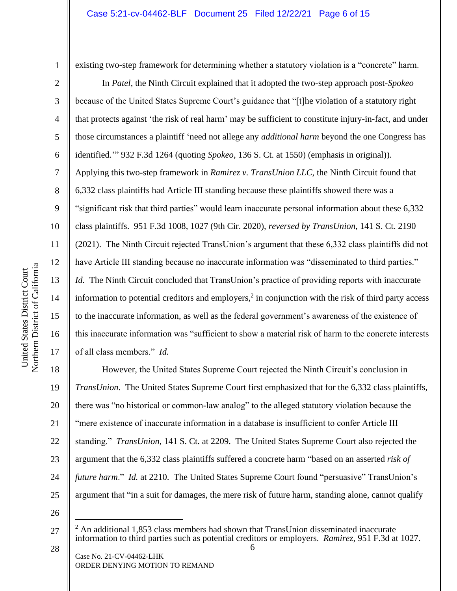2

3

4

5

6

7

8

9

10

11

12

13

14

15

16

17

existing two-step framework for determining whether a statutory violation is a "concrete" harm.

In *Patel*, the Ninth Circuit explained that it adopted the two-step approach post-*Spokeo*  because of the United States Supreme Court's guidance that "[t]he violation of a statutory right that protects against 'the risk of real harm' may be sufficient to constitute injury-in-fact, and under those circumstances a plaintiff 'need not allege any *additional harm* beyond the one Congress has identified.'" 932 F.3d 1264 (quoting *Spokeo*, 136 S. Ct. at 1550) (emphasis in original)). Applying this two-step framework in *Ramirez v. TransUnion LLC*, the Ninth Circuit found that 6,332 class plaintiffs had Article III standing because these plaintiffs showed there was a "significant risk that third parties" would learn inaccurate personal information about these 6,332 class plaintiffs. 951 F.3d 1008, 1027 (9th Cir. 2020), *reversed by TransUnion*, 141 S. Ct. 2190 (2021). The Ninth Circuit rejected TransUnion's argument that these 6,332 class plaintiffs did not have Article III standing because no inaccurate information was "disseminated to third parties." *Id.* The Ninth Circuit concluded that TransUnion's practice of providing reports with inaccurate information to potential creditors and employers, $2$  in conjunction with the risk of third party access to the inaccurate information, as well as the federal government's awareness of the existence of this inaccurate information was "sufficient to show a material risk of harm to the concrete interests of all class members." *Id.* 

18 19 20 21 22 23 24 25 However, the United States Supreme Court rejected the Ninth Circuit's conclusion in *TransUnion*. The United States Supreme Court first emphasized that for the 6,332 class plaintiffs, there was "no historical or common-law analog" to the alleged statutory violation because the "mere existence of inaccurate information in a database is insufficient to confer Article III standing." *TransUnion*, 141 S. Ct. at 2209. The United States Supreme Court also rejected the argument that the 6,332 class plaintiffs suffered a concrete harm "based on an asserted *risk of future harm.*" *Id.* at 2210. The United States Supreme Court found "persuasive" TransUnion's argument that "in a suit for damages, the mere risk of future harm, standing alone, cannot qualify

26

<sup>27</sup> <sup>2</sup> An additional 1,853 class members had shown that TransUnion disseminated inaccurate information to third parties such as potential creditors or employers. *Ramirez*, 951 F.3d at 1027.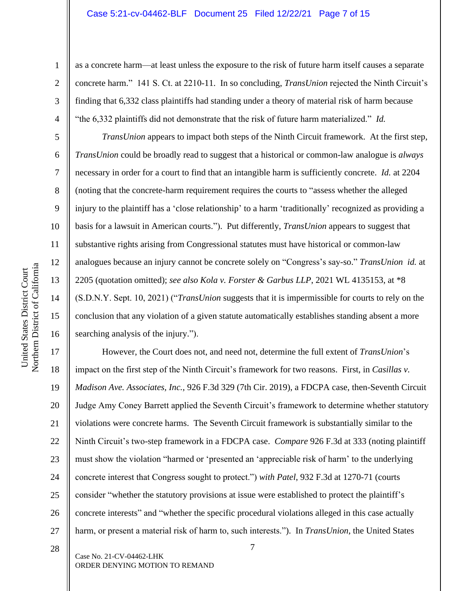#### Case 5:21-cv-04462-BLF Document 25 Filed 12/22/21 Page 7 of 15

as a concrete harm—at least unless the exposure to the risk of future harm itself causes a separate concrete harm." 141 S. Ct. at 2210-11. In so concluding, *TransUnion* rejected the Ninth Circuit's finding that 6,332 class plaintiffs had standing under a theory of material risk of harm because "the 6,332 plaintiffs did not demonstrate that the risk of future harm materialized." *Id.* 

*TransUnion* appears to impact both steps of the Ninth Circuit framework. At the first step, *TransUnion* could be broadly read to suggest that a historical or common-law analogue is *always* necessary in order for a court to find that an intangible harm is sufficiently concrete. *Id.* at 2204 (noting that the concrete-harm requirement requires the courts to "assess whether the alleged injury to the plaintiff has a 'close relationship' to a harm 'traditionally' recognized as providing a basis for a lawsuit in American courts."). Put differently, *TransUnion* appears to suggest that substantive rights arising from Congressional statutes must have historical or common-law analogues because an injury cannot be concrete solely on "Congress's say-so." *TransUnion id.* at 2205 (quotation omitted); *see also Kola v. Forster & Garbus LLP*, 2021 WL 4135153, at \*8 (S.D.N.Y. Sept. 10, 2021) ("*TransUnion* suggests that it is impermissible for courts to rely on the conclusion that any violation of a given statute automatically establishes standing absent a more searching analysis of the injury.").

17 18 19 20 21 22 23 24 25 26 27 However, the Court does not, and need not, determine the full extent of *TransUnion*'s impact on the first step of the Ninth Circuit's framework for two reasons. First, in *Casillas v. Madison Ave. Associates, Inc.*, 926 F.3d 329 (7th Cir. 2019), a FDCPA case, then-Seventh Circuit Judge Amy Coney Barrett applied the Seventh Circuit's framework to determine whether statutory violations were concrete harms. The Seventh Circuit framework is substantially similar to the Ninth Circuit's two-step framework in a FDCPA case. *Compare* 926 F.3d at 333 (noting plaintiff must show the violation "harmed or 'presented an 'appreciable risk of harm' to the underlying concrete interest that Congress sought to protect.") *with Patel*, 932 F.3d at 1270-71 (courts consider "whether the statutory provisions at issue were established to protect the plaintiff's concrete interests" and "whether the specific procedural violations alleged in this case actually harm, or present a material risk of harm to, such interests."). In *TransUnion*, the United States

1

2

3

4

5

6

7

8

9

10

11

12

13

14

15

16

28

Case No. 21-CV-04462-LHK ORDER DENYING MOTION TO REMAND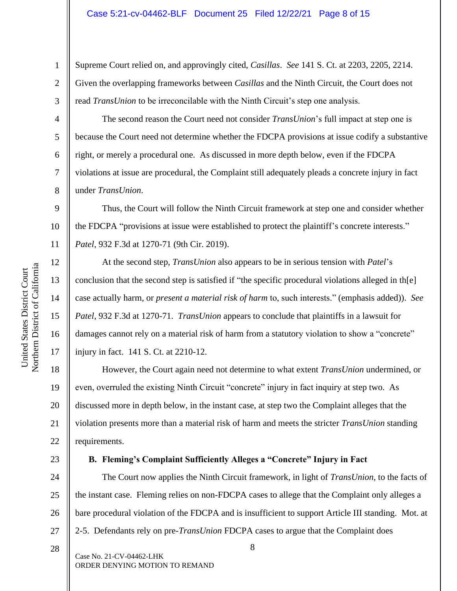Supreme Court relied on, and approvingly cited, *Casillas*. *See* 141 S. Ct. at 2203, 2205, 2214. Given the overlapping frameworks between *Casillas* and the Ninth Circuit, the Court does not read *TransUnion* to be irreconcilable with the Ninth Circuit's step one analysis.

The second reason the Court need not consider *TransUnion*'s full impact at step one is because the Court need not determine whether the FDCPA provisions at issue codify a substantive right, or merely a procedural one. As discussed in more depth below, even if the FDCPA violations at issue are procedural, the Complaint still adequately pleads a concrete injury in fact under *TransUnion*.

10 Thus, the Court will follow the Ninth Circuit framework at step one and consider whether the FDCPA "provisions at issue were established to protect the plaintiff's concrete interests." *Patel*, 932 F.3d at 1270-71 (9th Cir. 2019).

At the second step, *TransUnion* also appears to be in serious tension with *Patel*'s conclusion that the second step is satisfied if "the specific procedural violations alleged in th[e] case actually harm, or *present a material risk of harm* to, such interests." (emphasis added)). *See Patel*, 932 F.3d at 1270-71. *TransUnion* appears to conclude that plaintiffs in a lawsuit for damages cannot rely on a material risk of harm from a statutory violation to show a "concrete" injury in fact. 141 S. Ct. at 2210-12.

18 19 20 21 22 However, the Court again need not determine to what extent *TransUnion* undermined, or even, overruled the existing Ninth Circuit "concrete" injury in fact inquiry at step two. As discussed more in depth below, in the instant case, at step two the Complaint alleges that the violation presents more than a material risk of harm and meets the stricter *TransUnion* standing requirements.

### **B. Fleming's Complaint Sufficiently Alleges a "Concrete" Injury in Fact**

24 25 26 27 The Court now applies the Ninth Circuit framework, in light of *TransUnion*, to the facts of the instant case. Fleming relies on non-FDCPA cases to allege that the Complaint only alleges a bare procedural violation of the FDCPA and is insufficient to support Article III standing. Mot. at 2-5. Defendants rely on pre-*TransUnion* FDCPA cases to argue that the Complaint does

Case No. 21-CV-04462-LHK ORDER DENYING MOTION TO REMAND

1

2

3

4

5

6

7

8

9

11

12

13

14

15

16

17

23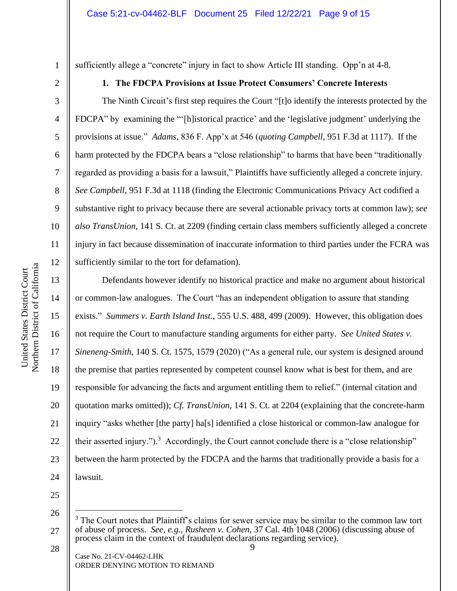4

5

6

7

8

9

10

11

12

13

14

15

16

17

18

19

20

21

22

23

24

1

# sufficiently allege a "concrete" injury in fact to show Article III standing. Opp'n at 4-8.

## **1. The FDCPA Provisions at Issue Protect Consumers' Concrete Interests**

The Ninth Circuit's first step requires the Court "[t]o identify the interests protected by the FDCPA" by examining the "'[h]istorical practice' and the 'legislative judgment' underlying the provisions at issue." *Adams*, 836 F. App'x at 546 (*quoting Campbell*, 951 F.3d at 1117). If the harm protected by the FDCPA bears a "close relationship" to harms that have been "traditionally regarded as providing a basis for a lawsuit," Plaintiffs have sufficiently alleged a concrete injury. *See Campbell*, 951 F.3d at 1118 (finding the Electronic Communications Privacy Act codified a substantive right to privacy because there are several actionable privacy torts at common law); *see also TransUnion*, 141 S. Ct. at 2209 (finding certain class members sufficiently alleged a concrete injury in fact because dissemination of inaccurate information to third parties under the FCRA was sufficiently similar to the tort for defamation).

Defendants however identify no historical practice and make no argument about historical or common-law analogues. The Court "has an independent obligation to assure that standing exists." *Summers v. Earth Island Inst.*, 555 U.S. 488, 499 (2009). However, this obligation does not require the Court to manufacture standing arguments for either party. *See United States v. Sineneng-Smith,* 140 S. Ct. 1575, 1579 (2020) ("As a general rule, our system is designed around the premise that parties represented by competent counsel know what is best for them, and are responsible for advancing the facts and argument entitling them to relief." (internal citation and quotation marks omitted)); *Cf. TransUnion*, 141 S. Ct. at 2204 (explaining that the concrete-harm inquiry "asks whether [the party] ha[s] identified a close historical or common-law analogue for their asserted injury.").<sup>3</sup> Accordingly, the Court cannot conclude there is a "close relationship" between the harm protected by the FDCPA and the harms that traditionally provide a basis for a lawsuit.

25 26

28

<sup>27</sup> The Court notes that Plaintiff's claims for sewer service may be similar to the common law tort of abuse of process. *See, e.g.*, *Rusheen v. Cohen*, 37 Cal. 4th 1048 (2006) (discussing abuse of process claim in the context of fraudulent declarations regarding service).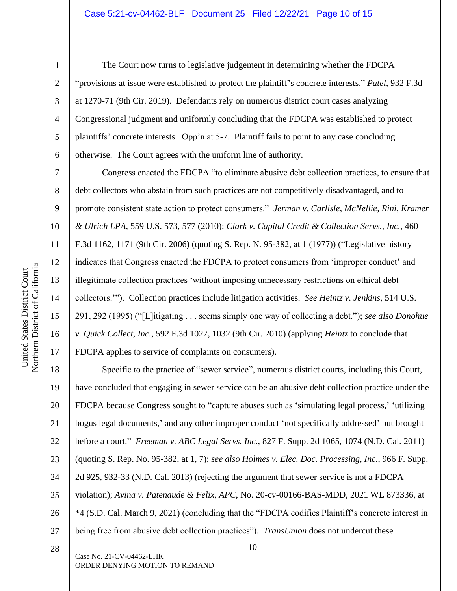2

3

4

5

6

7

8

9

10

11

12

13

14

15

16

17

28

The Court now turns to legislative judgement in determining whether the FDCPA "provisions at issue were established to protect the plaintiff's concrete interests." *Patel*, 932 F.3d at 1270-71 (9th Cir. 2019). Defendants rely on numerous district court cases analyzing Congressional judgment and uniformly concluding that the FDCPA was established to protect plaintiffs' concrete interests. Opp'n at 5-7. Plaintiff fails to point to any case concluding otherwise. The Court agrees with the uniform line of authority.

Congress enacted the FDCPA "to eliminate abusive debt collection practices, to ensure that debt collectors who abstain from such practices are not competitively disadvantaged, and to promote consistent state action to protect consumers." *Jerman v. Carlisle, McNellie, Rini, Kramer & Ulrich LPA*, 559 U.S. 573, 577 (2010); *Clark v. Capital Credit & Collection Servs., Inc.*, 460 F.3d 1162, 1171 (9th Cir. 2006) (quoting S. Rep. N. 95-382, at 1 (1977)) ("Legislative history indicates that Congress enacted the FDCPA to protect consumers from 'improper conduct' and illegitimate collection practices 'without imposing unnecessary restrictions on ethical debt collectors.'"). Collection practices include litigation activities. *See Heintz v. Jenkins*, 514 U.S. 291, 292 (1995) ("[L]itigating . . . seems simply one way of collecting a debt."); *see also Donohue v. Quick Collect, Inc.*, 592 F.3d 1027, 1032 (9th Cir. 2010) (applying *Heintz* to conclude that FDCPA applies to service of complaints on consumers).

18 19 20 21 22 23 24 25 26 27 Specific to the practice of "sewer service", numerous district courts, including this Court, have concluded that engaging in sewer service can be an abusive debt collection practice under the FDCPA because Congress sought to "capture abuses such as 'simulating legal process,' 'utilizing bogus legal documents,' and any other improper conduct 'not specifically addressed' but brought before a court." *Freeman v. ABC Legal Servs. Inc.*, 827 F. Supp. 2d 1065, 1074 (N.D. Cal. 2011) (quoting S. Rep. No. 95-382, at 1, 7); *see also Holmes v. Elec. Doc. Processing, Inc.*, 966 F. Supp. 2d 925, 932-33 (N.D. Cal. 2013) (rejecting the argument that sewer service is not a FDCPA violation); *Avina v. Patenaude & Felix, APC*, No. 20-cv-00166-BAS-MDD, 2021 WL 873336, at \*4 (S.D. Cal. March 9, 2021) (concluding that the "FDCPA codifies Plaintiff's concrete interest in being free from abusive debt collection practices"). *TransUnion* does not undercut these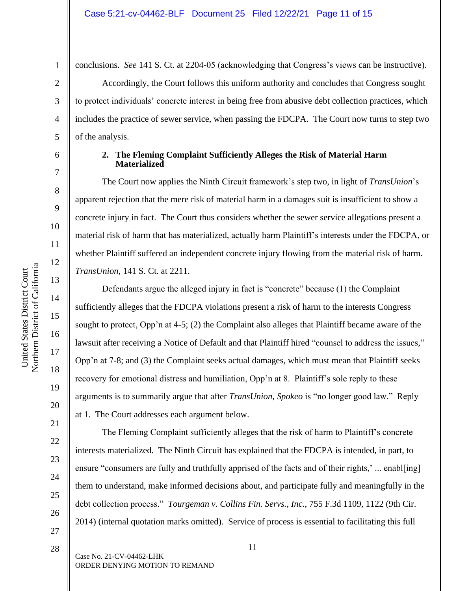conclusions. *See* 141 S. Ct. at 2204-05 (acknowledging that Congress's views can be instructive).

Accordingly, the Court follows this uniform authority and concludes that Congress sought to protect individuals' concrete interest in being free from abusive debt collection practices, which includes the practice of sewer service, when passing the FDCPA. The Court now turns to step two of the analysis.

### **2. The Fleming Complaint Sufficiently Alleges the Risk of Material Harm Materialized**

The Court now applies the Ninth Circuit framework's step two, in light of *TransUnion*'s apparent rejection that the mere risk of material harm in a damages suit is insufficient to show a concrete injury in fact. The Court thus considers whether the sewer service allegations present a material risk of harm that has materialized, actually harm Plaintiff's interests under the FDCPA, or whether Plaintiff suffered an independent concrete injury flowing from the material risk of harm. *TransUnion*, 141 S. Ct. at 2211.

Defendants argue the alleged injury in fact is "concrete" because (1) the Complaint sufficiently alleges that the FDCPA violations present a risk of harm to the interests Congress sought to protect, Opp'n at 4-5; (2) the Complaint also alleges that Plaintiff became aware of the lawsuit after receiving a Notice of Default and that Plaintiff hired "counsel to address the issues," Opp'n at 7-8; and (3) the Complaint seeks actual damages, which must mean that Plaintiff seeks recovery for emotional distress and humiliation, Opp'n at 8. Plaintiff's sole reply to these arguments is to summarily argue that after *TransUnion*, *Spokeo* is "no longer good law." Reply at 1. The Court addresses each argument below.

The Fleming Complaint sufficiently alleges that the risk of harm to Plaintiff's concrete interests materialized. The Ninth Circuit has explained that the FDCPA is intended, in part, to ensure "consumers are fully and truthfully apprised of the facts and of their rights,' ... enable ing them to understand, make informed decisions about, and participate fully and meaningfully in the debt collection process." *Tourgeman v. Collins Fin. Servs., Inc.*, 755 F.3d 1109, 1122 (9th Cir. 2014) (internal quotation marks omitted). Service of process is essential to facilitating this full

11

12

13

14

15

16

17

18

19

20

21

22

23

24

25

26

27

1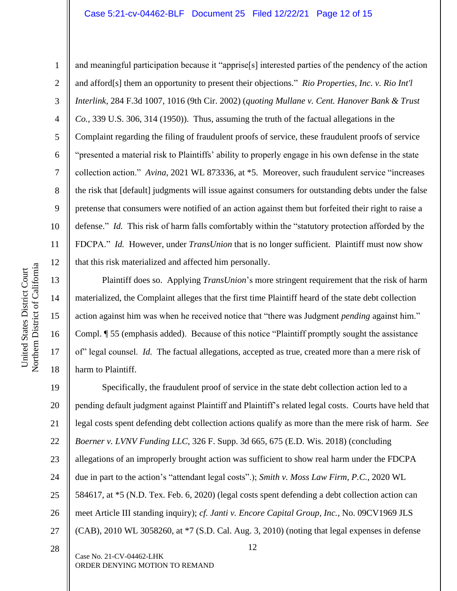#### Case 5:21-cv-04462-BLF Document 25 Filed 12/22/21 Page 12 of 15

6 10 and meaningful participation because it "apprise[s] interested parties of the pendency of the action and afford[s] them an opportunity to present their objections." *Rio Properties, Inc. v. Rio Int'l Interlink*, 284 F.3d 1007, 1016 (9th Cir. 2002) (*quoting Mullane v. Cent. Hanover Bank & Trust Co.*, 339 U.S. 306, 314 (1950)). Thus, assuming the truth of the factual allegations in the Complaint regarding the filing of fraudulent proofs of service, these fraudulent proofs of service "presented a material risk to Plaintiffs' ability to properly engage in his own defense in the state collection action." *Avina*, 2021 WL 873336, at \*5. Moreover, such fraudulent service "increases the risk that [default] judgments will issue against consumers for outstanding debts under the false pretense that consumers were notified of an action against them but forfeited their right to raise a defense." *Id.* This risk of harm falls comfortably within the "statutory protection afforded by the FDCPA." *Id.* However, under *TransUnion* that is no longer sufficient. Plaintiff must now show that this risk materialized and affected him personally.

Plaintiff does so. Applying *TransUnion*'s more stringent requirement that the risk of harm materialized, the Complaint alleges that the first time Plaintiff heard of the state debt collection action against him was when he received notice that "there was Judgment *pending* against him." Compl. ¶ 55 (emphasis added). Because of this notice "Plaintiff promptly sought the assistance of" legal counsel. *Id.* The factual allegations, accepted as true, created more than a mere risk of harm to Plaintiff.

12 19 20 21 22 23 24 25 26 27 28 Specifically, the fraudulent proof of service in the state debt collection action led to a pending default judgment against Plaintiff and Plaintiff's related legal costs. Courts have held that legal costs spent defending debt collection actions qualify as more than the mere risk of harm. *See Boerner v. LVNV Funding LLC*, 326 F. Supp. 3d 665, 675 (E.D. Wis. 2018) (concluding allegations of an improperly brought action was sufficient to show real harm under the FDCPA due in part to the action's "attendant legal costs".); *Smith v. Moss Law Firm, P.C.*, 2020 WL 584617, at \*5 (N.D. Tex. Feb. 6, 2020) (legal costs spent defending a debt collection action can meet Article III standing inquiry); *cf. Janti v. Encore Capital Group, Inc.*, No. 09CV1969 JLS (CAB), 2010 WL 3058260, at \*7 (S.D. Cal. Aug. 3, 2010) (noting that legal expenses in defense

Case No. 21-CV-04462-LHK ORDER DENYING MOTION TO REMAND

1

2

3

4

5

7

8

9

11

12

13

14

15

16

17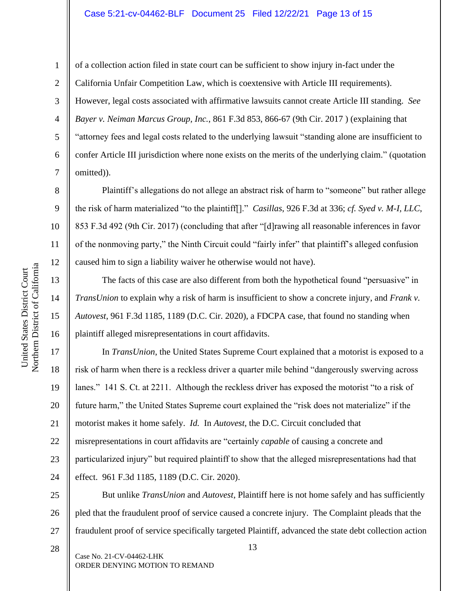11

12

13

14

15

16

28

1

of a collection action filed in state court can be sufficient to show injury in-fact under the California Unfair Competition Law, which is coextensive with Article III requirements). However, legal costs associated with affirmative lawsuits cannot create Article III standing. *See Bayer v. Neiman Marcus Group, Inc.*, 861 F.3d 853, 866-67 (9th Cir. 2017 ) (explaining that "attorney fees and legal costs related to the underlying lawsuit "standing alone are insufficient to confer Article III jurisdiction where none exists on the merits of the underlying claim." (quotation omitted)).

Plaintiff's allegations do not allege an abstract risk of harm to "someone" but rather allege the risk of harm materialized "to the plaintiff[]." *Casillas*, 926 F.3d at 336; *cf. Syed v. M-I, LLC*, 853 F.3d 492 (9th Cir. 2017) (concluding that after "[d]rawing all reasonable inferences in favor of the nonmoving party," the Ninth Circuit could "fairly infer" that plaintiff's alleged confusion caused him to sign a liability waiver he otherwise would not have).

The facts of this case are also different from both the hypothetical found "persuasive" in *TransUnion* to explain why a risk of harm is insufficient to show a concrete injury, and *Frank v. Autovest*, 961 F.3d 1185, 1189 (D.C. Cir. 2020), a FDCPA case, that found no standing when plaintiff alleged misrepresentations in court affidavits.

17 18 19 20 21 22 23 24 In *TransUnion*, the United States Supreme Court explained that a motorist is exposed to a risk of harm when there is a reckless driver a quarter mile behind "dangerously swerving across lanes." 141 S. Ct. at 2211. Although the reckless driver has exposed the motorist "to a risk of future harm," the United States Supreme court explained the "risk does not materialize" if the motorist makes it home safely. *Id.* In *Autovest*, the D.C. Circuit concluded that misrepresentations in court affidavits are "certainly *capable* of causing a concrete and particularized injury" but required plaintiff to show that the alleged misrepresentations had that effect. 961 F.3d 1185, 1189 (D.C. Cir. 2020).

25 26 27 But unlike *TransUnion* and *Autovest*, Plaintiff here is not home safely and has sufficiently pled that the fraudulent proof of service caused a concrete injury. The Complaint pleads that the fraudulent proof of service specifically targeted Plaintiff, advanced the state debt collection action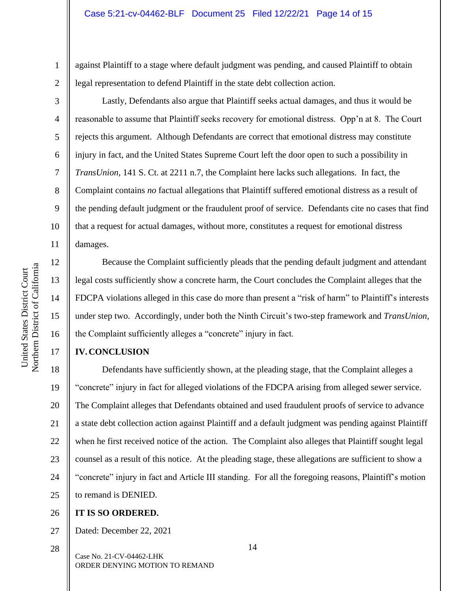against Plaintiff to a stage where default judgment was pending, and caused Plaintiff to obtain legal representation to defend Plaintiff in the state debt collection action.

Lastly, Defendants also argue that Plaintiff seeks actual damages, and thus it would be reasonable to assume that Plaintiff seeks recovery for emotional distress. Opp'n at 8. The Court rejects this argument. Although Defendants are correct that emotional distress may constitute injury in fact, and the United States Supreme Court left the door open to such a possibility in *TransUnion*, 141 S. Ct. at 2211 n.7, the Complaint here lacks such allegations. In fact, the Complaint contains *no* factual allegations that Plaintiff suffered emotional distress as a result of the pending default judgment or the fraudulent proof of service. Defendants cite no cases that find that a request for actual damages, without more, constitutes a request for emotional distress damages.

Northern District of California Northern District of California United States District Court United States District Court

1

2

3

4

5

6

7

8

9

10

11

12

13

14

15

16

17

Because the Complaint sufficiently pleads that the pending default judgment and attendant legal costs sufficiently show a concrete harm, the Court concludes the Complaint alleges that the FDCPA violations alleged in this case do more than present a "risk of harm" to Plaintiff's interests under step two. Accordingly, under both the Ninth Circuit's two-step framework and *TransUnion*, the Complaint sufficiently alleges a "concrete" injury in fact.

# **IV.CONCLUSION**

18 19 20 21 22 23 24 25 Defendants have sufficiently shown, at the pleading stage, that the Complaint alleges a "concrete" injury in fact for alleged violations of the FDCPA arising from alleged sewer service. The Complaint alleges that Defendants obtained and used fraudulent proofs of service to advance a state debt collection action against Plaintiff and a default judgment was pending against Plaintiff when he first received notice of the action. The Complaint also alleges that Plaintiff sought legal counsel as a result of this notice. At the pleading stage, these allegations are sufficient to show a "concrete" injury in fact and Article III standing. For all the foregoing reasons, Plaintiff's motion to remand is DENIED.

#### 26 **IT IS SO ORDERED.**

27 Dated: December 22, 2021

Case No. 21-CV-04462-LHK ORDER DENYING MOTION TO REMAND 28